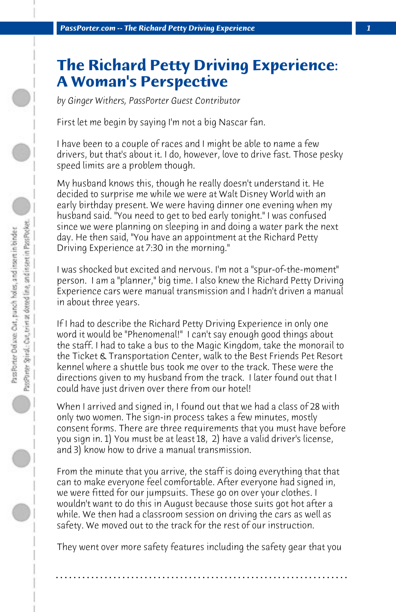## **The Richard Petty Driving Experience: A Woman's Perspective**

*by Ginger Withers, PassPorter Guest Contributor*

First let me begin by saying I'm not a big Nascar fan.

I have been to a couple of races and I might be able to name a few drivers, but that's about it. I do, however, love to drive fast. Those pesky speed limits are a problem though.

My husband knows this, though he really doesn't understand it. He decided to surprise me while we were at Walt Disney World with an early birthday present. We were having dinner one evening when my husband said. "You need to get to bed early tonight." I was confused since we were planning on sleeping in and doing a water park the next day. He then said, "You have an appointment at the Richard Petty Driving Experience at 7:30 in the morning."

I was shocked but excited and nervous. I'm not a "spur-of-the-moment" person. I am a "planner," big time. I also knew the Richard Petty Driving Experience cars were manual transmission and I hadn't driven a manual in about three years.

If I had to describe the Richard Petty Driving Experience in only one word it would be "Phenomenal!" I can't say enough good things about the staff. I had to take a bus to the Magic Kingdom, take the monorail to the Ticket & Transportation Center, walk to the Best Friends Pet Resort kennel where a shuttle bus took me over to the track. These were the directions given to my husband from the track. I later found out that I could have just driven over there from our hotel!

When I arrived and signed in, I found out that we had a class of 28 with only two women. The sign-in process takes a few minutes, mostly consent forms. There are three requirements that you must have before you sign in. 1) You must be at least 18, 2) have a valid driver's license, and 3) know how to drive a manual transmission.

From the minute that you arrive, the staff is doing everything that that can to make everyone feel comfortable. After everyone had signed in, we were fitted for our jumpsuits. These go on over your clothes. I wouldn't want to do this in August because those suits got hot after a while. We then had a classroom session on driving the cars as well as safety. We moved out to the track for the rest of our instruction.

They went over more safety features including the safety gear that you

**. . . . . . . . . . . . . . . . . . . . . . . . . . . . . . . . . . . . . . . . . . . . . . . . . . . . . . . . . . . . . . . . . .**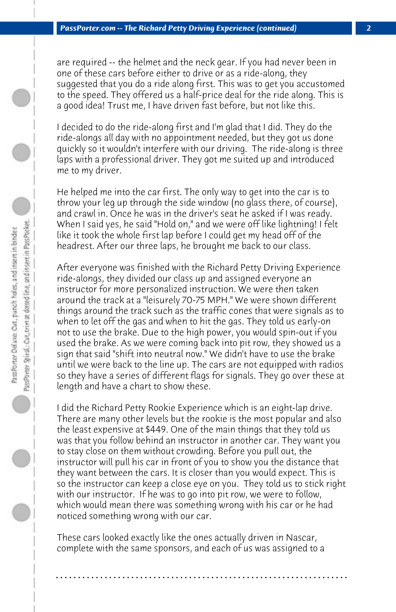are required -- the helmet and the neck gear. If you had never been in one of these cars before either to drive or as a ride-along, they suggested that you do a ride along first. This was to get you accustomed to the speed. They offered us a half-price deal for the ride along. This is a good idea! Trust me, I have driven fast before, but not like this.

I decided to do the ride-along first and I'm glad that I did. They do the ride-alongs all day with no appointment needed, but they got us done quickly so it wouldn't interfere with our driving. The ride-along is three laps with a professional driver. They got me suited up and introduced me to my driver.

He helped me into the car first. The only way to get into the car is to throw your leg up through the side window (no glass there, of course), and crawl in. Once he was in the driver's seat he asked if I was ready. When I said yes, he said "Hold on," and we were off like lightning! I felt like it took the whole first lap before I could get my head off of the headrest. After our three laps, he brought me back to our class.

After everyone was finished with the Richard Petty Driving Experience ride-alongs, they divided our class up and assigned everyone an instructor for more personalized instruction. We were then taken around the track at a "leisurely 70-75 MPH." We were shown different things around the track such as the traffic cones that were signals as to when to let off the gas and when to hit the gas. They told us early-on not to use the brake. Due to the high power, you would spin-out if you used the brake. As we were coming back into pit row, they showed us a sign that said "shift into neutral now." We didn't have to use the brake until we were back to the line up. The cars are not equipped with radios so they have a series of different flags for signals. They go over these at length and have a chart to show these.

I did the Richard Petty Rookie Experience which is an eight-lap drive. There are many other levels but the rookie is the most popular and also the least expensive at \$449. One of the main things that they told us was that you follow behind an instructor in another car. They want you to stay close on them without crowding. Before you pull out, the instructor will pull his car in front of you to show you the distance that they want between the cars. It is closer than you would expect. This is so the instructor can keep a close eye on you. They told us to stick right with our instructor. If he was to go into pit row, we were to follow, which would mean there was something wrong with his car or he had noticed something wrong with our car.

These cars looked exactly like the ones actually driven in Nascar, complete with the same sponsors, and each of us was assigned to a

**. . . . . . . . . . . . . . . . . . . . . . . . . . . . . . . . . . . . . . . . . . . . . . . . . . . . . . . . . . . . . . . . . .**